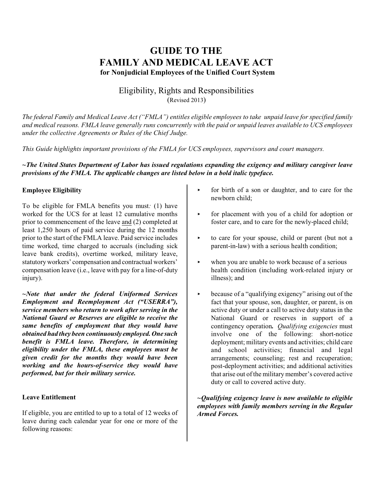# **GUIDE TO THE FAMILY AND MEDICAL LEAVE ACT for Nonjudicial Employees of the Unified Court System**

## Eligibility, Rights and Responsibilities (Revised 2013)

*The federal Family and Medical Leave Act ("FMLA") entitles eligible employees to take unpaid leave for specified family and medical reasons. FMLA leave generally runs concurrently with the paid or unpaid leaves available to UCS employees under the collective Agreements or Rules of the Chief Judge.*

*This Guide highlights important provisions of the FMLA for UCS employees, supervisors and court managers.*

## *~The United States Department of Labor has issued regulations expanding the exigency and military caregiver leave provisions of the FMLA. The applicable changes are listed below in a bold italic typeface.*

## **Employee Eligibility**

To be eligible for FMLA benefits you must*:* (1) have worked for the UCS for at least 12 cumulative months prior to commencement of the leave and (2) completed at least 1,250 hours of paid service during the 12 months prior to the start of the FMLA leave. Paid service includes time worked, time charged to accruals (including sick leave bank credits), overtime worked, military leave, statutory workers' compensation and contractual workers' compensation leave (i.e., leave with pay for a line-of-duty injury).

*~Note that under the federal Uniformed Services Employment and Reemployment Act ("USERRA"), service members who return to work after serving in the National Guard or Reserves are eligible to receive the same benefits of employment that they would have obtained had they been continuously employed. One such benefit is FMLA leave. Therefore, in determining eligibility under the FMLA, these employees must be given credit for the months they would have been working and the hours-of-service they would have performed, but for their military service.* 

#### **Leave Entitlement**

If eligible, you are entitled to up to a total of 12 weeks of leave during each calendar year for one or more of the following reasons:

- for birth of a son or daughter, and to care for the newborn child;
- for placement with you of a child for adoption or foster care, and to care for the newly-placed child;
- $\rightarrow$  to care for your spouse, child or parent (but not a parent-in-law) with a serious health condition;
- when you are unable to work because of a serious health condition (including work-related injury or illness); and
- $\triangleright$  because of a "qualifying exigency" arising out of the fact that your spouse, son, daughter, or parent, is on active duty or under a call to active duty status in the National Guard or reserves in support of a contingency operation*. Qualifying exigencies* must involve one of the following: short-notice deployment; military events and activities; child care and school activities; financial and legal arrangements; counseling; rest and recuperation; post-deployment activities; and additional activities that arise out of the military member's covered active duty or call to covered active duty.

*~Qualifying exigency leave is now available to eligible employees with family members serving in the Regular Armed Forces.*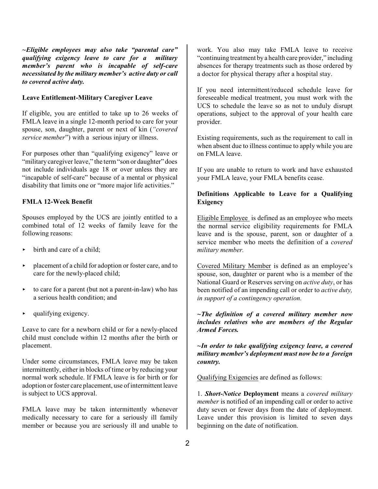*~Eligible employees may also take "parental care" qualifying exigency leave to care for a military member's parent who is incapable of self-care necessitated by the military member's active duty or call to covered active duty.* 

#### **Leave Entitlement-Military Caregiver Leave**

If eligible, you are entitled to take up to 26 weeks of FMLA leave in a single 12-month period to care for your spouse, son, daughter, parent or next of kin (*"covered service member*") with a serious injury or illness.

For purposes other than "qualifying exigency" leave or "military caregiver leave," the term "son or daughter" does not include individuals age 18 or over unless they are "incapable of self-care" because of a mental or physical disability that limits one or "more major life activities."

#### **FMLA 12-Week Benefit**

Spouses employed by the UCS are jointly entitled to a combined total of 12 weeks of family leave for the following reasons:

- $\rightarrow$  birth and care of a child;
- $\rightarrow$  placement of a child for adoption or foster care, and to care for the newly-placed child;
- $\triangleright$  to care for a parent (but not a parent-in-law) who has a serious health condition; and
- $\blacktriangleright$  qualifying exigency.

Leave to care for a newborn child or for a newly-placed child must conclude within 12 months after the birth or placement.

Under some circumstances, FMLA leave may be taken intermittently, either in blocks of time or by reducing your normal work schedule. If FMLA leave is for birth or for adoption or foster care placement, use of intermittent leave is subject to UCS approval.

FMLA leave may be taken intermittently whenever medically necessary to care for a seriously ill family member or because you are seriously ill and unable to work. You also may take FMLA leave to receive "continuing treatment by a health care provider," including absences for therapy treatments such as those ordered by a doctor for physical therapy after a hospital stay.

If you need intermittent/reduced schedule leave for foreseeable medical treatment, you must work with the UCS to schedule the leave so as not to unduly disrupt operations, subject to the approval of your health care provider.

Existing requirements, such as the requirement to call in when absent due to illness continue to apply while you are on FMLA leave.

If you are unable to return to work and have exhausted your FMLA leave, your FMLA benefits cease.

## **Definitions Applicable to Leave for a Qualifying Exigency**

Eligible Employee is defined as an employee who meets the normal service eligibility requirements for FMLA leave and is the spouse, parent, son or daughter of a service member who meets the definition of a *covered military member.*

Covered Military Member is defined as an employee's spouse, son, daughter or parent who is a member of the National Guard or Reserves serving on *active duty*, or has been notified of an impending call or order to *active duty, in support of a contingency operation.* 

#### *~The definition of a covered military member now includes relatives who are members of the Regular Armed Forces.*

*~In order to take qualifying exigency leave, a covered military member's deployment must now be to a foreign country.* 

Qualifying Exigencies are defined as follows:

1. *Short-Notice* **Deployment** means a *covered military member* is notified of an impending call or order to active duty seven or fewer days from the date of deployment. Leave under this provision is limited to seven days beginning on the date of notification.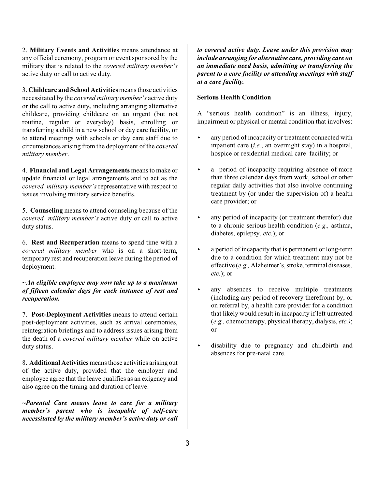2. **Military Events and Activities** means attendance at any official ceremony, program or event sponsored by the military that is related to the *covered military member's* active duty or call to active duty.

3. **Childcare and School Activities** means those activities necessitated by the *covered military member's* active duty or the call to active duty*,* including arranging alternative childcare, providing childcare on an urgent (but not routine, regular or everyday) basis, enrolling or transferring a child in a new school or day care facility, or to attend meetings with schools or day care staff due to circumstances arising from the deployment of the *covered military member*.

4. **Financial and Legal Arrangements** means to make or update financial or legal arrangements and to act as the *covered military member's* representative with respect to issues involving military service benefits.

5. **Counseling** means to attend counseling because of the *covered military member's* active duty or call to active duty status.

6. **Rest and Recuperation** means to spend time with a *covered military member* who is on a short-term, temporary rest and recuperation leave during the period of deployment.

## *~An eligible employee may now take up to a maximum of fifteen calendar days for each instance of rest and recuperation.*

7. **Post-Deployment Activities** means to attend certain post-deployment activities, such as arrival ceremonies, reintegration briefings and to address issues arising from the death of a *covered military member* while on active duty status.

8. **Additional Activities** means those activities arising out of the active duty, provided that the employer and employee agree that the leave qualifies as an exigency and also agree on the timing and duration of leave.

**~***Parental Care means leave to care for a military member's parent who is incapable of self-care necessitated by the military member's active duty or call*

*to covered active duty. Leave under this provision may include arranging for alternative care, providing care on an immediate need basis, admitting or transferring the parent to a care facility or attending meetings with staff at a care facility.* 

#### **Serious Health Condition**

A "serious health condition" is an illness, injury, impairment or physical or mental condition that involves:

- $\blacktriangleright$  any period of incapacity or treatment connected with inpatient care (*i.e.*, an overnight stay) in a hospital, hospice or residential medical care facility; or
- $\triangleright$  a period of incapacity requiring absence of more than three calendar days from work, school or other regular daily activities that also involve continuing treatment by (or under the supervision of) a health care provider; or
- $\blacktriangleright$  any period of incapacity (or treatment therefor) due to a chronic serious health condition (*e.g.,* asthma, diabetes, epilepsy, *etc.*); or
- < a period of incapacity that is permanent or long-term due to a condition for which treatment may not be effective (*e.g.*, Alzheimer's, stroke, terminal diseases, *etc.*); or
- $\triangleright$  any absences to receive multiple treatments (including any period of recovery therefrom) by, or on referral by, a health care provider for a condition that likely would result in incapacity if left untreated (*e.g.,* chemotherapy, physical therapy, dialysis, *etc.)*; or
- < disability due to pregnancy and childbirth and absences for pre-natal care.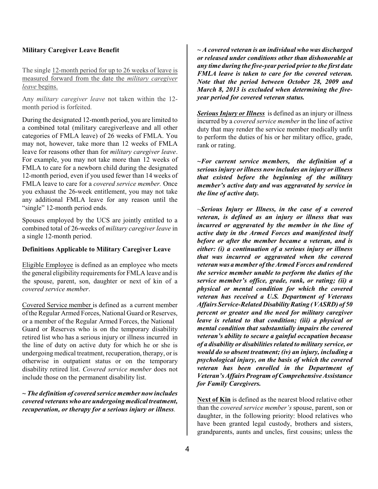#### **Military Caregiver Leave Benefit**

The single 12-month period for up to 26 weeks of leave is measured forward from the date the *military caregiver leave* begins.

Any *military caregiver leave* not taken within the 12 month period is forfeited.

During the designated 12-month period, you are limited to a combined total (military caregiverleave and all other categories of FMLA leave) of 26 weeks of FMLA. You may not, however, take more than 12 weeks of FMLA leave for reasons other than for *military caregiver leave*. For example, you may not take more than 12 weeks of FMLA to care for a newborn child during the designated 12-month period, even if you used fewer than 14 weeks of FMLA leave to care for a *covered service member.* Once you exhaust the 26-week entitlement, you may not take any additional FMLA leave for any reason until the "single" 12-month period ends.

Spouses employed by the UCS are jointly entitled to a combined total of 26-weeks of *military caregiver leave* in a single 12-month period.

#### **Definitions Applicable to Military Caregiver Leave**

Eligible Employee is defined as an employee who meets the general eligibility requirements for FMLA leave and is the spouse, parent, son, daughter or next of kin of a *covered service member*.

Covered Service member is defined as a current member of the Regular Armed Forces, National Guard or Reserves, or a member of the Regular Armed Forces, the National Guard or Reserves who is on the temporary disability retired list who has a serious injury or illness incurred in the line of duty on active duty for which he or she is undergoing medical treatment, recuperation, therapy, or is otherwise in outpatient status or on the temporary disability retired list. *Covered service member* does not include those on the permanent disability list.

*~ The definition of covered service member now includes covered veterans who are undergoing medical treatment, recuperation, or therapy for a serious injury or illness.* 

*~ A covered veteran is an individual who was discharged or released under conditions other than dishonorable at any time during the five-year period prior to the first date FMLA leave is taken to care for the covered veteran. Note that the period between October 28, 2009 and March 8, 2013 is excluded when determining the fiveyear period for covered veteran status.*

*Serious Injury or Illness* is defined as an injury or illness incurred by a *covered service member* in the line of active duty that may render the service member medically unfit to perform the duties of his or her military office, grade, rank or rating.

*~For current service members, the definition of a serious injury or illness now includes an injury or illness that existed before the beginning of the military member's active duty and was aggravated by service in the line of active duty.* 

~*Serious Injury or Illness, in the case of a covered veteran, is defined as an injury or illness that was incurred or aggravated by the member in the line of active duty in the Armed Forces and manifested itself before or after the member became a veteran, and is either: (i) a continuation of a serious injury or illness that was incurred or aggravated when the covered veteran was a member ofthe Armed Forces and rendered the service member unable to perform the duties of the service member's office, grade, rank, or rating; (ii) a physical or mental condition for which the covered veteran has received a U.S. Department of Veterans Affairs Service-Related Disability Rating (VASRD) of 50 percent or greater and the need for military caregiver leave is related to that condition; (iii) a physical or mental condition that substantially impairs the covered veteran's ability to secure a gainful occupation because of a disability or disabilities related to military service, or would do so absent treatment; (iv) an injury, including a psychological injury, on the basis of which the covered veteran has been enrolled in the Department of Veteran's Affairs Program ofComprehensive Assistance for Family Caregivers.* 

**Next of Kin** is defined as the nearest blood relative other than the *covered service member's* spouse, parent, son or daughter, in the following priority: blood relatives who have been granted legal custody, brothers and sisters, grandparents, aunts and uncles, first cousins; unless the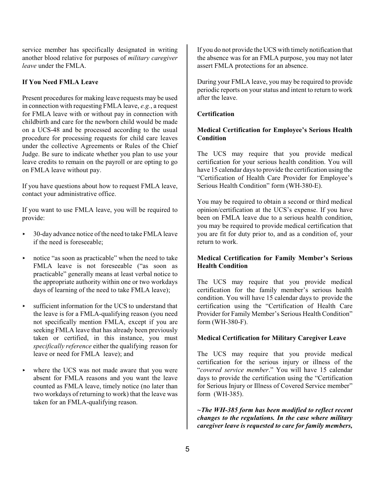service member has specifically designated in writing another blood relative for purposes of *military caregiver leave* under the FMLA.

#### **If You Need FMLA Leave**

Present procedures for making leave requests may be used in connection with requesting FMLA leave, *e.g.*, a request for FMLA leave with or without pay in connection with childbirth and care for the newborn child would be made on a UCS-48 and be processed according to the usual procedure for processing requests for child care leaves under the collective Agreements or Rules of the Chief Judge. Be sure to indicate whether you plan to use your leave credits to remain on the payroll or are opting to go on FMLA leave without pay.

If you have questions about how to request FMLA leave, contact your administrative office.

If you want to use FMLA leave, you will be required to provide:

- ▶ 30-day advance notice of the need to take FMLA leave if the need is foreseeable;
- $\triangleright$  notice "as soon as practicable" when the need to take FMLA leave is not foreseeable ("as soon as practicable" generally means at least verbal notice to the appropriate authority within one or two workdays days of learning of the need to take FMLA leave);
- $\triangleright$  sufficient information for the UCS to understand that the leave is for a FMLA-qualifying reason (you need not specifically mention FMLA, except if you are seeking FMLA leave that has already been previously taken or certified, in this instance, you must *specifically reference* either the qualifying reason for leave or need for FMLA leave); and
- where the UCS was not made aware that you were absent for FMLA reasons and you want the leave counted as FMLA leave, timely notice (no later than two workdays of returning to work) that the leave was taken for an FMLA-qualifying reason.

If you do not provide the UCS with timely notification that the absence was for an FMLA purpose, you may not later assert FMLA protections for an absence.

During your FMLA leave, you may be required to provide periodic reports on your status and intent to return to work after the leave.

#### **Certification**

## **Medical Certification for Employee's Serious Health Condition**

The UCS may require that you provide medical certification for your serious health condition. You will have 15 calendar days to provide the certification using the "Certification of Health Care Provider for Employee's Serious Health Condition" form (WH-380-E).

You may be required to obtain a second or third medical opinion/certification at the UCS's expense. If you have been on FMLA leave due to a serious health condition, you may be required to provide medical certification that you are fit for duty prior to, and as a condition of, your return to work.

#### **Medical Certification for Family Member's Serious Health Condition**

The UCS may require that you provide medical certification for the family member's serious health condition. You will have 15 calendar days to provide the certification using the "Certification of Health Care Provider for Family Member's Serious Health Condition" form (WH-380-F).

#### **Medical Certification for Military Caregiver Leave**

The UCS may require that you provide medical certification for the serious injury or illness of the "*covered service member*." You will have 15 calendar days to provide the certification using the "Certification for Serious Injury or Illness of Covered Service member" form (WH-385).

*~The WH-385 form has been modified to reflect recent changes to the regulations. In the case where military caregiver leave is requested to care for family members,*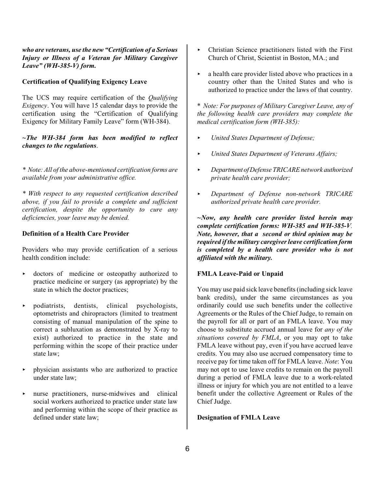*who are veterans, use the new "Certification of a Serious Injury or Illness of a Veteran for Military Caregiver Leave" (WH-385-V) form.* 

#### **Certification of Qualifying Exigency Leave**

The UCS may require certification of the *Qualifying Exigency*. You will have 15 calendar days to provide the certification using the "Certification of Qualifying Exigency for Military Family Leave" form (WH-384).

*~The WH-384 form has been modified to reflect changes to the regulations*.

*\* Note: All of the above-mentioned certification forms are available from your administrative office.*

*\* With respect to any requested certification described above, if you fail to provide a complete and sufficient certification, despite the opportunity to cure any deficiencies, your leave may be denied.* 

#### **Definition of a Health Care Provider**

Providers who may provide certification of a serious health condition include:

- < doctors of medicine or osteopathy authorized to practice medicine or surgery (as appropriate) by the state in which the doctor practices;
- < podiatrists, dentists, clinical psychologists, optometrists and chiropractors (limited to treatment consisting of manual manipulation of the spine to correct a subluxation as demonstrated by X-ray to exist) authorized to practice in the state and performing within the scope of their practice under state law;
- < physician assistants who are authorized to practice under state law;
- $\triangleright$  nurse practitioners, nurse-midwives and clinical social workers authorized to practice under state law and performing within the scope of their practice as defined under state law;
- $\triangleright$  Christian Science practitioners listed with the First Church of Christ, Scientist in Boston, MA.; and
- $\triangleright$  a health care provider listed above who practices in a country other than the United States and who is authorized to practice under the laws of that country.

\* *Note: For purposes of Military Caregiver Leave, any of the following health care providers may complete the medical certification form (WH-385):*

- < *United States Department of Defense;*
- < *United States Department of Veterans Affairs;*
- < *Department ofDefense TRICARE network authorized private health care provider;*
- < *Department of Defense non-network TRICARE authorized private health care provider.*

*~Now, any health care provider listed herein may complete certification forms: WH-385 and WH-385-V. Note, however, that a second or third opinion may be required if the military caregiver leave certification form is completed by a health care provider who is not affiliated with the military.* 

#### **FMLA Leave-Paid or Unpaid**

You may use paid sick leave benefits (including sick leave bank credits), under the same circumstances as you ordinarily could use such benefits under the collective Agreements or the Rules of the Chief Judge, to remain on the payroll for all or part of an FMLA leave. You may choose to substitute accrued annual leave for *any of the situations covered by FMLA*, or you may opt to take FMLA leave without pay, even if you have accrued leave credits. You may also use accrued compensatory time to receive pay for time taken off for FMLA leave. *Note*: You may not opt to use leave credits to remain on the payroll during a period of FMLA leave due to a work-related illness or injury for which you are not entitled to a leave benefit under the collective Agreement or Rules of the Chief Judge.

#### **Designation of FMLA Leave**